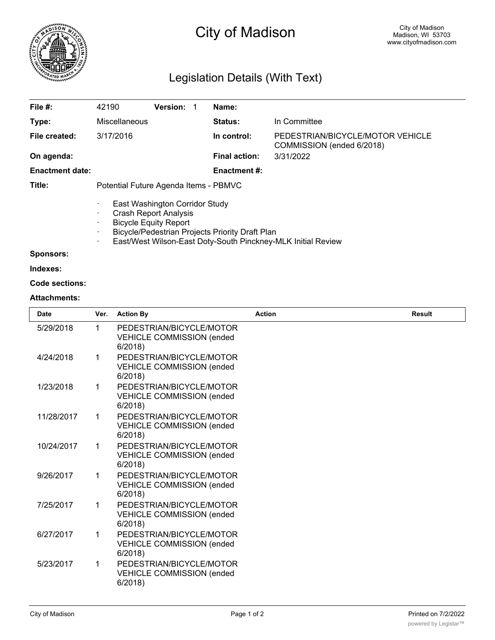

# City of Madison

# Legislation Details (With Text)

| File $#$ :             | 42190                                                                                                                                                                                                                  | <b>Version:</b> | Name:                |                                                               |  |  |
|------------------------|------------------------------------------------------------------------------------------------------------------------------------------------------------------------------------------------------------------------|-----------------|----------------------|---------------------------------------------------------------|--|--|
| Type:                  | Miscellaneous                                                                                                                                                                                                          |                 | Status:              | In Committee                                                  |  |  |
| File created:          | 3/17/2016                                                                                                                                                                                                              |                 | In control:          | PEDESTRIAN/BICYCLE/MOTOR VEHICLE<br>COMMISSION (ended 6/2018) |  |  |
| On agenda:             |                                                                                                                                                                                                                        |                 | <b>Final action:</b> | 3/31/2022                                                     |  |  |
| <b>Enactment date:</b> |                                                                                                                                                                                                                        |                 | <b>Enactment #:</b>  |                                                               |  |  |
| Title:                 | Potential Future Agenda Items - PBMVC                                                                                                                                                                                  |                 |                      |                                                               |  |  |
|                        | East Washington Corridor Study<br><b>Crash Report Analysis</b><br><b>Bicycle Equity Report</b><br>Bicycle/Pedestrian Projects Priority Draft Plan<br>East/West Wilson-East Doty-South Pinckney-MLK Initial Review<br>٠ |                 |                      |                                                               |  |  |
| <b>Sponsors:</b>       |                                                                                                                                                                                                                        |                 |                      |                                                               |  |  |

**Indexes:**

#### **Code sections:**

#### **Attachments:**

| <b>Date</b> | Ver. | <b>Action By</b>                                                       | <b>Action</b> | <b>Result</b> |
|-------------|------|------------------------------------------------------------------------|---------------|---------------|
| 5/29/2018   | 1    | PEDESTRIAN/BICYCLE/MOTOR<br><b>VEHICLE COMMISSION (ended</b><br>6/2018 |               |               |
| 4/24/2018   | 1    | PEDESTRIAN/BICYCLE/MOTOR<br><b>VEHICLE COMMISSION (ended</b><br>6/2018 |               |               |
| 1/23/2018   | 1    | PEDESTRIAN/BICYCLE/MOTOR<br><b>VEHICLE COMMISSION (ended</b><br>6/2018 |               |               |
| 11/28/2017  | 1    | PEDESTRIAN/BICYCLE/MOTOR<br><b>VEHICLE COMMISSION (ended</b><br>6/2018 |               |               |
| 10/24/2017  | 1    | PEDESTRIAN/BICYCLE/MOTOR<br><b>VEHICLE COMMISSION (ended</b><br>6/2018 |               |               |
| 9/26/2017   | 1    | PEDESTRIAN/BICYCLE/MOTOR<br><b>VEHICLE COMMISSION (ended</b><br>6/2018 |               |               |
| 7/25/2017   | 1    | PEDESTRIAN/BICYCLE/MOTOR<br><b>VEHICLE COMMISSION (ended</b><br>6/2018 |               |               |
| 6/27/2017   | 1    | PEDESTRIAN/BICYCLE/MOTOR<br><b>VEHICLE COMMISSION (ended</b><br>6/2018 |               |               |
| 5/23/2017   | 1    | PEDESTRIAN/BICYCLE/MOTOR<br><b>VEHICLE COMMISSION (ended</b><br>6/2018 |               |               |